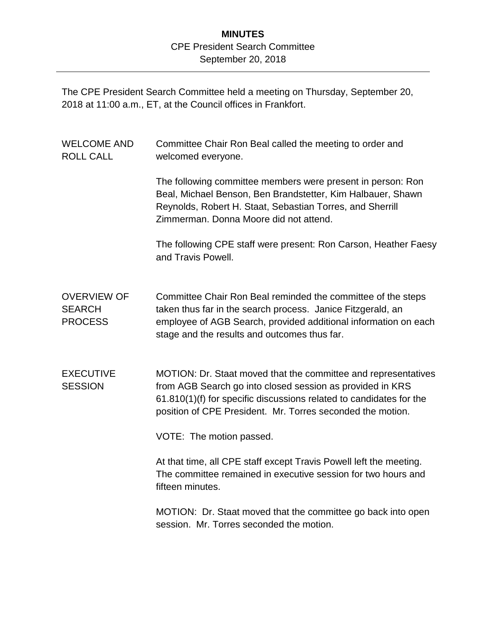## **MINUTES** CPE President Search Committee September 20, 2018

The CPE President Search Committee held a meeting on Thursday, September 20, 2018 at 11:00 a.m., ET, at the Council offices in Frankfort.

| <b>WELCOME AND</b><br><b>ROLL CALL</b>                | Committee Chair Ron Beal called the meeting to order and<br>welcomed everyone.                                                                                                                                                                                   |
|-------------------------------------------------------|------------------------------------------------------------------------------------------------------------------------------------------------------------------------------------------------------------------------------------------------------------------|
|                                                       | The following committee members were present in person: Ron<br>Beal, Michael Benson, Ben Brandstetter, Kim Halbauer, Shawn<br>Reynolds, Robert H. Staat, Sebastian Torres, and Sherrill<br>Zimmerman, Donna Moore did not attend.                                |
|                                                       | The following CPE staff were present: Ron Carson, Heather Faesy<br>and Travis Powell.                                                                                                                                                                            |
| <b>OVERVIEW OF</b><br><b>SEARCH</b><br><b>PROCESS</b> | Committee Chair Ron Beal reminded the committee of the steps<br>taken thus far in the search process. Janice Fitzgerald, an<br>employee of AGB Search, provided additional information on each<br>stage and the results and outcomes thus far.                   |
| <b>EXECUTIVE</b><br><b>SESSION</b>                    | MOTION: Dr. Staat moved that the committee and representatives<br>from AGB Search go into closed session as provided in KRS<br>61.810(1)(f) for specific discussions related to candidates for the<br>position of CPE President. Mr. Torres seconded the motion. |
|                                                       | VOTE: The motion passed.                                                                                                                                                                                                                                         |
|                                                       | At that time, all CPE staff except Travis Powell left the meeting.<br>The committee remained in executive session for two hours and<br>fifteen minutes.                                                                                                          |
|                                                       | MOTION: Dr. Staat moved that the committee go back into open<br>session. Mr. Torres seconded the motion.                                                                                                                                                         |